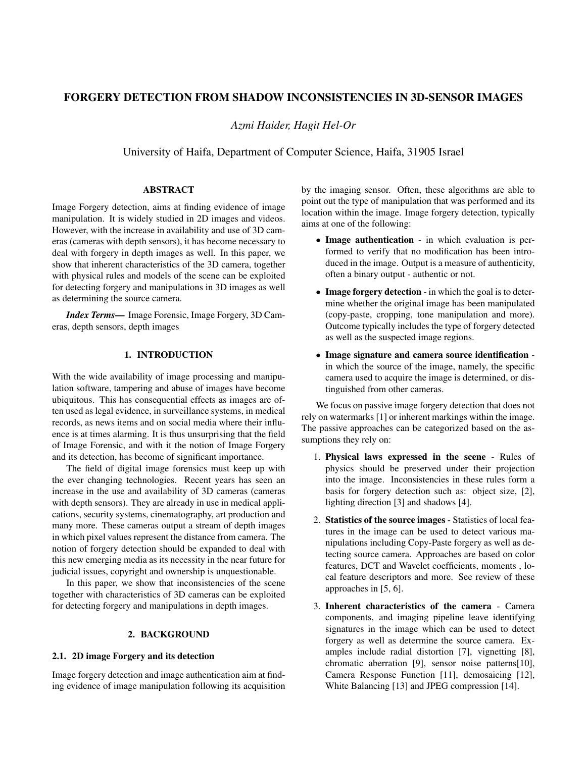# FORGERY DETECTION FROM SHADOW INCONSISTENCIES IN 3D-SENSOR IMAGES

*Azmi Haider, Hagit Hel-Or*

University of Haifa, Department of Computer Science, Haifa, 31905 Israel

# ABSTRACT

Image Forgery detection, aims at finding evidence of image manipulation. It is widely studied in 2D images and videos. However, with the increase in availability and use of 3D cameras (cameras with depth sensors), it has become necessary to deal with forgery in depth images as well. In this paper, we show that inherent characteristics of the 3D camera, together with physical rules and models of the scene can be exploited for detecting forgery and manipulations in 3D images as well as determining the source camera.

*Index Terms*— Image Forensic, Image Forgery, 3D Cameras, depth sensors, depth images

# 1. INTRODUCTION

With the wide availability of image processing and manipulation software, tampering and abuse of images have become ubiquitous. This has consequential effects as images are often used as legal evidence, in surveillance systems, in medical records, as news items and on social media where their influence is at times alarming. It is thus unsurprising that the field of Image Forensic, and with it the notion of Image Forgery and its detection, has become of significant importance.

The field of digital image forensics must keep up with the ever changing technologies. Recent years has seen an increase in the use and availability of 3D cameras (cameras with depth sensors). They are already in use in medical applications, security systems, cinematography, art production and many more. These cameras output a stream of depth images in which pixel values represent the distance from camera. The notion of forgery detection should be expanded to deal with this new emerging media as its necessity in the near future for judicial issues, copyright and ownership is unquestionable.

In this paper, we show that inconsistencies of the scene together with characteristics of 3D cameras can be exploited for detecting forgery and manipulations in depth images.

# 2. BACKGROUND

# 2.1. 2D image Forgery and its detection

Image forgery detection and image authentication aim at finding evidence of image manipulation following its acquisition by the imaging sensor. Often, these algorithms are able to point out the type of manipulation that was performed and its location within the image. Image forgery detection, typically aims at one of the following:

- Image authentication in which evaluation is performed to verify that no modification has been introduced in the image. Output is a measure of authenticity, often a binary output - authentic or not.
- Image forgery detection in which the goal is to determine whether the original image has been manipulated (copy-paste, cropping, tone manipulation and more). Outcome typically includes the type of forgery detected as well as the suspected image regions.
- Image signature and camera source identification in which the source of the image, namely, the specific camera used to acquire the image is determined, or distinguished from other cameras.

We focus on passive image forgery detection that does not rely on watermarks [1] or inherent markings within the image. The passive approaches can be categorized based on the assumptions they rely on:

- 1. Physical laws expressed in the scene Rules of physics should be preserved under their projection into the image. Inconsistencies in these rules form a basis for forgery detection such as: object size, [2], lighting direction [3] and shadows [4].
- 2. Statistics of the source images Statistics of local features in the image can be used to detect various manipulations including Copy-Paste forgery as well as detecting source camera. Approaches are based on color features, DCT and Wavelet coefficients, moments , local feature descriptors and more. See review of these approaches in [5, 6].
- 3. Inherent characteristics of the camera Camera components, and imaging pipeline leave identifying signatures in the image which can be used to detect forgery as well as determine the source camera. Examples include radial distortion [7], vignetting [8], chromatic aberration [9], sensor noise patterns[10], Camera Response Function [11], demosaicing [12], White Balancing [13] and JPEG compression [14].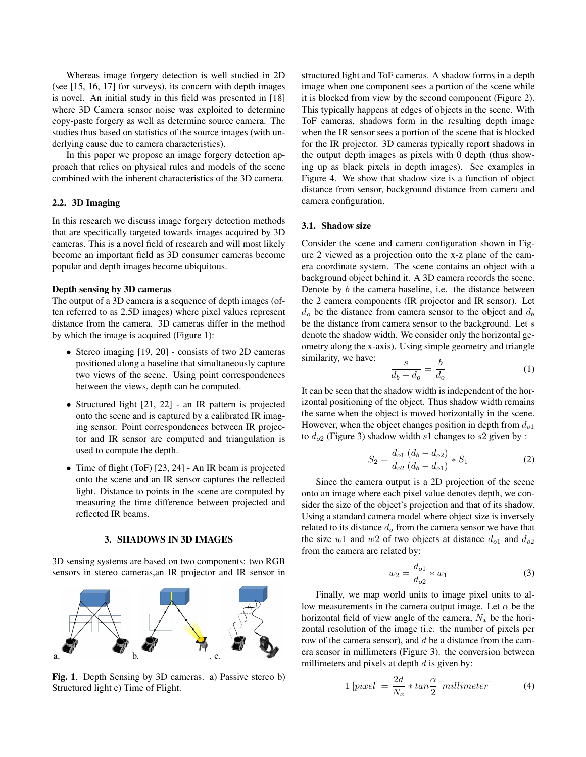Whereas image forgery detection is well studied in 2D (see [15, 16, 17] for surveys), its concern with depth images is novel. An initial study in this field was presented in [18] where 3D Camera sensor noise was exploited to determine copy-paste forgery as well as determine source camera. The studies thus based on statistics of the source images (with underlying cause due to camera characteristics).

In this paper we propose an image forgery detection approach that relies on physical rules and models of the scene combined with the inherent characteristics of the 3D camera.

### 2.2. 3D Imaging

In this research we discuss image forgery detection methods that are specifically targeted towards images acquired by 3D cameras. This is a novel field of research and will most likely become an important field as 3D consumer cameras become popular and depth images become ubiquitous.

# Depth sensing by 3D cameras

The output of a 3D camera is a sequence of depth images (often referred to as 2.5D images) where pixel values represent distance from the camera. 3D cameras differ in the method by which the image is acquired (Figure 1):

- Stereo imaging [19, 20] consists of two 2D cameras positioned along a baseline that simultaneously capture two views of the scene. Using point correspondences between the views, depth can be computed.
- Structured light [21, 22] an IR pattern is projected onto the scene and is captured by a calibrated IR imaging sensor. Point correspondences between IR projector and IR sensor are computed and triangulation is used to compute the depth.
- Time of flight (ToF) [23, 24] An IR beam is projected onto the scene and an IR sensor captures the reflected light. Distance to points in the scene are computed by measuring the time difference between projected and reflected IR beams.

# 3. SHADOWS IN 3D IMAGES

3D sensing systems are based on two components: two RGB sensors in stereo cameras,an IR projector and IR sensor in



Fig. 1. Depth Sensing by 3D cameras. a) Passive stereo b) Structured light c) Time of Flight.

structured light and ToF cameras. A shadow forms in a depth image when one component sees a portion of the scene while it is blocked from view by the second component (Figure 2). This typically happens at edges of objects in the scene. With ToF cameras, shadows form in the resulting depth image when the IR sensor sees a portion of the scene that is blocked for the IR projector. 3D cameras typically report shadows in the output depth images as pixels with 0 depth (thus showing up as black pixels in depth images). See examples in Figure 4. We show that shadow size is a function of object distance from sensor, background distance from camera and camera configuration.

# 3.1. Shadow size

Consider the scene and camera configuration shown in Figure 2 viewed as a projection onto the x-z plane of the camera coordinate system. The scene contains an object with a background object behind it. A 3D camera records the scene. Denote by  $b$  the camera baseline, i.e. the distance between the 2 camera components (IR projector and IR sensor). Let  $d<sub>o</sub>$  be the distance from camera sensor to the object and  $d<sub>b</sub>$ be the distance from camera sensor to the background. Let s denote the shadow width. We consider only the horizontal geometry along the x-axis). Using simple geometry and triangle similarity, we have:

$$
\frac{s}{d_b - d_o} = \frac{b}{d_o} \tag{1}
$$

It can be seen that the shadow width is independent of the horizontal positioning of the object. Thus shadow width remains the same when the object is moved horizontally in the scene. However, when the object changes position in depth from  $d_{o1}$ to  $d_{o2}$  (Figure 3) shadow width s1 changes to s2 given by :

$$
S_2 = \frac{d_{o1}}{d_{o2}} \frac{(d_b - d_{o2})}{(d_b - d_{o1})} * S_1
$$
 (2)

Since the camera output is a 2D projection of the scene onto an image where each pixel value denotes depth, we consider the size of the object's projection and that of its shadow. Using a standard camera model where object size is inversely related to its distance  $d_o$  from the camera sensor we have that the size w1 and w2 of two objects at distance  $d_{o1}$  and  $d_{o2}$ from the camera are related by:

$$
w_2 = \frac{d_{o1}}{d_{o2}} * w_1 \tag{3}
$$

Finally, we map world units to image pixel units to allow measurements in the camera output image. Let  $\alpha$  be the horizontal field of view angle of the camera,  $N_x$  be the horizontal resolution of the image (i.e. the number of pixels per row of the camera sensor), and d be a distance from the camera sensor in millimeters (Figure 3). the conversion between millimeters and pixels at depth  $d$  is given by:

$$
1\left[pixel\right] = \frac{2d}{N_x} * tan\frac{\alpha}{2} \left[millimeter\right] \tag{4}
$$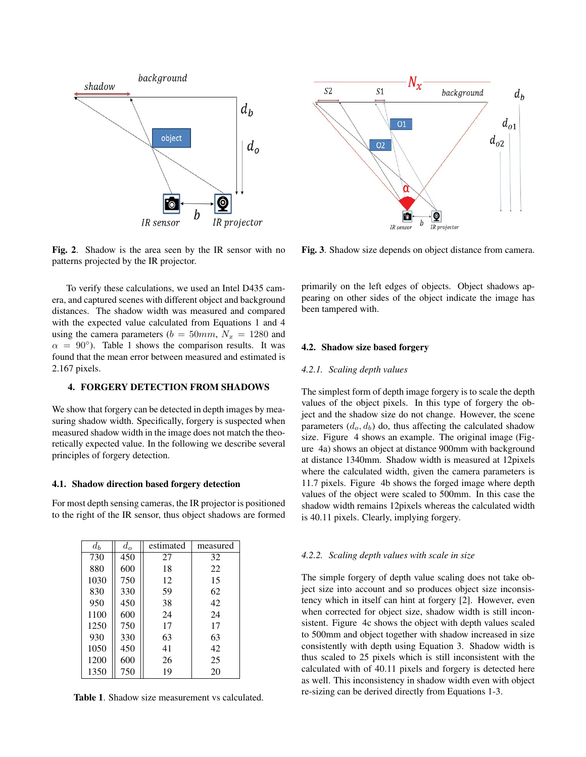

Fig. 2. Shadow is the area seen by the IR sensor with no patterns projected by the IR projector.

To verify these calculations, we used an Intel D435 camera, and captured scenes with different object and background distances. The shadow width was measured and compared with the expected value calculated from Equations 1 and 4 using the camera parameters ( $b = 50mm$ ,  $N_x = 1280$  and  $\alpha = 90^{\circ}$ ). Table 1 shows the comparison results. It was found that the mean error between measured and estimated is 2.167 pixels.

# 4. FORGERY DETECTION FROM SHADOWS

We show that forgery can be detected in depth images by measuring shadow width. Specifically, forgery is suspected when measured shadow width in the image does not match the theoretically expected value. In the following we describe several principles of forgery detection.

## 4.1. Shadow direction based forgery detection

For most depth sensing cameras, the IR projector is positioned to the right of the IR sensor, thus object shadows are formed

| $d_b$ | $d_o$ | estimated | measured |
|-------|-------|-----------|----------|
| 730   | 450   | 27        | 32       |
| 880   | 600   | 18        | 22       |
| 1030  | 750   | 12        | 15       |
| 830   | 330   | 59        | 62       |
| 950   | 450   | 38        | 42       |
| 1100  | 600   | 24        | 24       |
| 1250  | 750   | 17        | 17       |
| 930   | 330   | 63        | 63       |
| 1050  | 450   | 41        | 42       |
| 1200  | 600   | 26        | 25       |
| 1350  | 750   | 19        | 20       |

Table 1. Shadow size measurement vs calculated.



Fig. 3. Shadow size depends on object distance from camera.

primarily on the left edges of objects. Object shadows appearing on other sides of the object indicate the image has been tampered with.

#### 4.2. Shadow size based forgery

#### *4.2.1. Scaling depth values*

The simplest form of depth image forgery is to scale the depth values of the object pixels. In this type of forgery the object and the shadow size do not change. However, the scene parameters  $(d_o, d_b)$  do, thus affecting the calculated shadow size. Figure 4 shows an example. The original image (Figure 4a) shows an object at distance 900mm with background at distance 1340mm. Shadow width is measured at 12pixels where the calculated width, given the camera parameters is 11.7 pixels. Figure 4b shows the forged image where depth values of the object were scaled to 500mm. In this case the shadow width remains 12pixels whereas the calculated width is 40.11 pixels. Clearly, implying forgery.

#### *4.2.2. Scaling depth values with scale in size*

The simple forgery of depth value scaling does not take object size into account and so produces object size inconsistency which in itself can hint at forgery [2]. However, even when corrected for object size, shadow width is still inconsistent. Figure 4c shows the object with depth values scaled to 500mm and object together with shadow increased in size consistently with depth using Equation 3. Shadow width is thus scaled to 25 pixels which is still inconsistent with the calculated with of 40.11 pixels and forgery is detected here as well. This inconsistency in shadow width even with object re-sizing can be derived directly from Equations 1-3.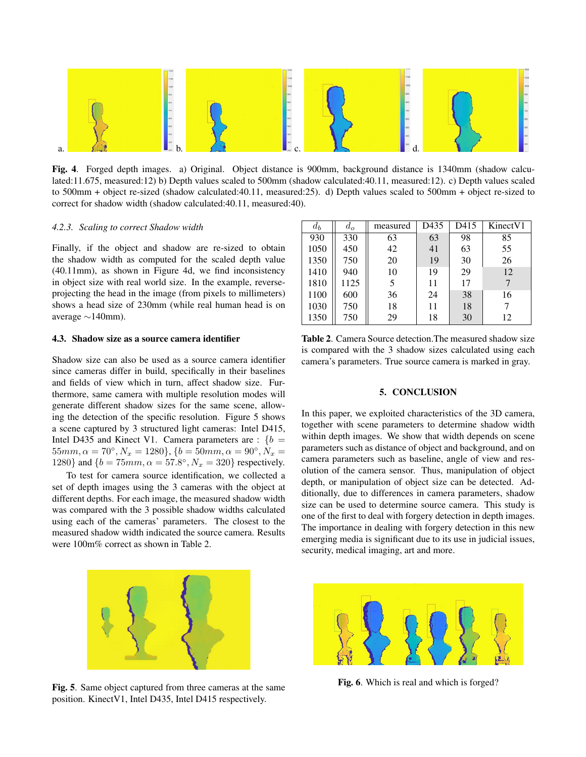

Fig. 4. Forged depth images. a) Original. Object distance is 900mm, background distance is 1340mm (shadow calculated:11.675, measured:12) b) Depth values scaled to 500mm (shadow calculated:40.11, measured:12). c) Depth values scaled to 500mm + object re-sized (shadow calculated:40.11, measured:25). d) Depth values scaled to 500mm + object re-sized to correct for shadow width (shadow calculated:40.11, measured:40).

#### *4.2.3. Scaling to correct Shadow width*

Finally, if the object and shadow are re-sized to obtain the shadow width as computed for the scaled depth value (40.11mm), as shown in Figure 4d, we find inconsistency in object size with real world size. In the example, reverseprojecting the head in the image (from pixels to millimeters) shows a head size of 230mm (while real human head is on average ∼140mm).

### 4.3. Shadow size as a source camera identifier

Shadow size can also be used as a source camera identifier since cameras differ in build, specifically in their baselines and fields of view which in turn, affect shadow size. Furthermore, same camera with multiple resolution modes will generate different shadow sizes for the same scene, allowing the detection of the specific resolution. Figure 5 shows a scene captured by 3 structured light cameras: Intel D415, Intel D435 and Kinect V1. Camera parameters are :  ${b =$  $55mm, \alpha = 70^{\circ}, N_x = 1280\}, \{b = 50mm, \alpha = 90^{\circ}, N_x =$ 1280} and  $\{b = 75mm, \alpha = 57.8^{\circ}, N_x = 320\}$  respectively.

To test for camera source identification, we collected a set of depth images using the 3 cameras with the object at different depths. For each image, the measured shadow width was compared with the 3 possible shadow widths calculated using each of the cameras' parameters. The closest to the measured shadow width indicated the source camera. Results were 100m% correct as shown in Table 2.

| $d_b$ | $d_o$ | measured | D435 | D415 | Kinect <sub>V1</sub> |
|-------|-------|----------|------|------|----------------------|
| 930   | 330   | 63       | 63   | 98   | 85                   |
| 1050  | 450   | 42       | 41   | 63   | 55                   |
| 1350  | 750   | 20       | 19   | 30   | 26                   |
| 1410  | 940   | 10       | 19   | 29   | 12                   |
| 1810  | 1125  | 5        | 11   | 17   |                      |
| 1100  | 600   | 36       | 24   | 38   | 16                   |
| 1030  | 750   | 18       | 11   | 18   |                      |
| 1350  | 750   | 29       | 18   | 30   | 12                   |

Table 2. Camera Source detection.The measured shadow size is compared with the 3 shadow sizes calculated using each camera's parameters. True source camera is marked in gray.

## 5. CONCLUSION

In this paper, we exploited characteristics of the 3D camera, together with scene parameters to determine shadow width within depth images. We show that width depends on scene parameters such as distance of object and background, and on camera parameters such as baseline, angle of view and resolution of the camera sensor. Thus, manipulation of object depth, or manipulation of object size can be detected. Additionally, due to differences in camera parameters, shadow size can be used to determine source camera. This study is one of the first to deal with forgery detection in depth images. The importance in dealing with forgery detection in this new emerging media is significant due to its use in judicial issues, security, medical imaging, art and more.



Fig. 5. Same object captured from three cameras at the same position. KinectV1, Intel D435, Intel D415 respectively.



Fig. 6. Which is real and which is forged?